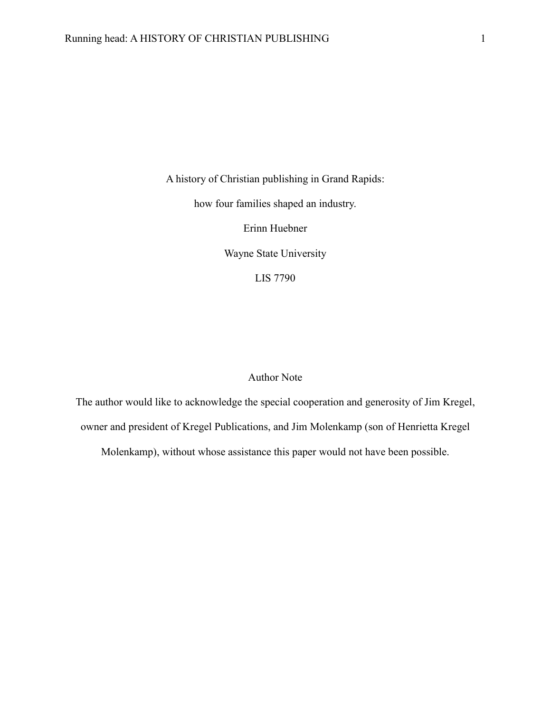A history of Christian publishing in Grand Rapids:

how four families shaped an industry.

Erinn Huebner

Wayne State University

LIS 7790

# Author Note

The author would like to acknowledge the special cooperation and generosity of Jim Kregel, owner and president of Kregel Publications, and Jim Molenkamp (son of Henrietta Kregel

Molenkamp), without whose assistance this paper would not have been possible.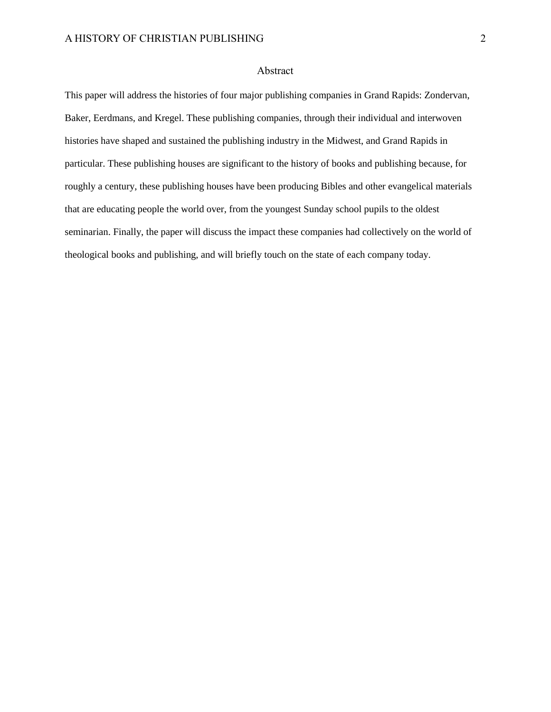### Abstract

This paper will address the histories of four major publishing companies in Grand Rapids: Zondervan, Baker, Eerdmans, and Kregel. These publishing companies, through their individual and interwoven histories have shaped and sustained the publishing industry in the Midwest, and Grand Rapids in particular. These publishing houses are significant to the history of books and publishing because, for roughly a century, these publishing houses have been producing Bibles and other evangelical materials that are educating people the world over, from the youngest Sunday school pupils to the oldest seminarian. Finally, the paper will discuss the impact these companies had collectively on the world of theological books and publishing, and will briefly touch on the state of each company today.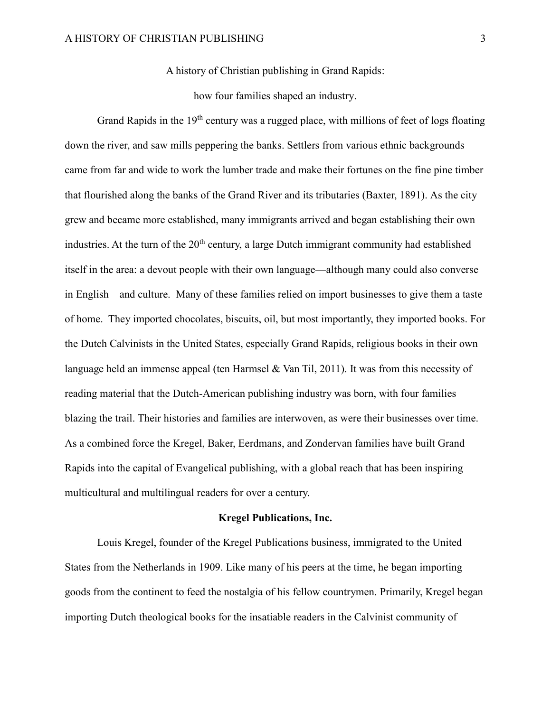A history of Christian publishing in Grand Rapids:

how four families shaped an industry.

Grand Rapids in the  $19<sup>th</sup>$  century was a rugged place, with millions of feet of logs floating down the river, and saw mills peppering the banks. Settlers from various ethnic backgrounds came from far and wide to work the lumber trade and make their fortunes on the fine pine timber that flourished along the banks of the Grand River and its tributaries (Baxter, 1891). As the city grew and became more established, many immigrants arrived and began establishing their own industries. At the turn of the 20<sup>th</sup> century, a large Dutch immigrant community had established itself in the area: a devout people with their own language—although many could also converse in English—and culture. Many of these families relied on import businesses to give them a taste of home. They imported chocolates, biscuits, oil, but most importantly, they imported books. For the Dutch Calvinists in the United States, especially Grand Rapids, religious books in their own language held an immense appeal (ten Harmsel & Van Til, 2011). It was from this necessity of reading material that the Dutch-American publishing industry was born, with four families blazing the trail. Their histories and families are interwoven, as were their businesses over time. As a combined force the Kregel, Baker, Eerdmans, and Zondervan families have built Grand Rapids into the capital of Evangelical publishing, with a global reach that has been inspiring multicultural and multilingual readers for over a century.

#### **Kregel Publications, Inc.**

Louis Kregel, founder of the Kregel Publications business, immigrated to the United States from the Netherlands in 1909. Like many of his peers at the time, he began importing goods from the continent to feed the nostalgia of his fellow countrymen. Primarily, Kregel began importing Dutch theological books for the insatiable readers in the Calvinist community of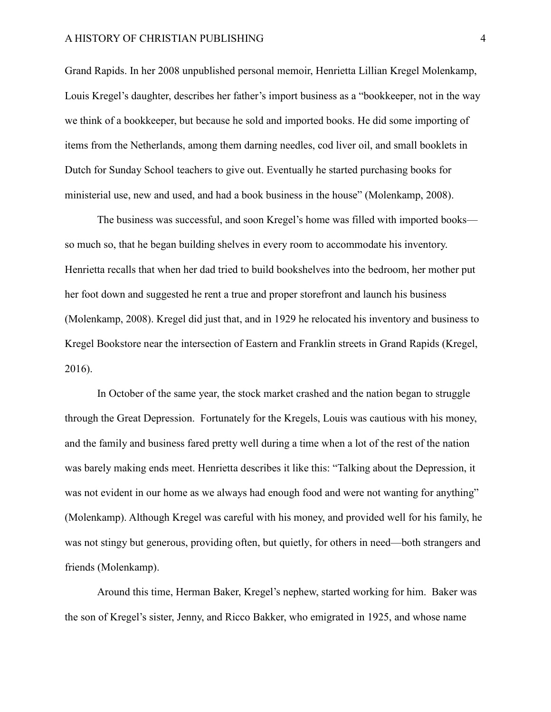#### A HISTORY OF CHRISTIAN PUBLISHING 4

Grand Rapids. In her 2008 unpublished personal memoir, Henrietta Lillian Kregel Molenkamp, Louis Kregel's daughter, describes her father's import business as a "bookkeeper, not in the way we think of a bookkeeper, but because he sold and imported books. He did some importing of items from the Netherlands, among them darning needles, cod liver oil, and small booklets in Dutch for Sunday School teachers to give out. Eventually he started purchasing books for ministerial use, new and used, and had a book business in the house" (Molenkamp, 2008).

The business was successful, and soon Kregel's home was filled with imported books so much so, that he began building shelves in every room to accommodate his inventory. Henrietta recalls that when her dad tried to build bookshelves into the bedroom, her mother put her foot down and suggested he rent a true and proper storefront and launch his business (Molenkamp, 2008). Kregel did just that, and in 1929 he relocated his inventory and business to Kregel Bookstore near the intersection of Eastern and Franklin streets in Grand Rapids (Kregel, 2016).

In October of the same year, the stock market crashed and the nation began to struggle through the Great Depression. Fortunately for the Kregels, Louis was cautious with his money, and the family and business fared pretty well during a time when a lot of the rest of the nation was barely making ends meet. Henrietta describes it like this: "Talking about the Depression, it was not evident in our home as we always had enough food and were not wanting for anything" (Molenkamp). Although Kregel was careful with his money, and provided well for his family, he was not stingy but generous, providing often, but quietly, for others in need—both strangers and friends (Molenkamp).

Around this time, Herman Baker, Kregel's nephew, started working for him. Baker was the son of Kregel's sister, Jenny, and Ricco Bakker, who emigrated in 1925, and whose name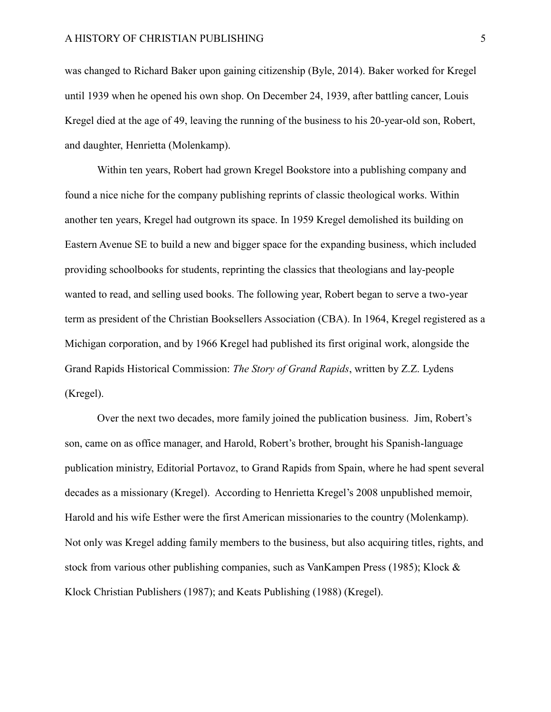was changed to Richard Baker upon gaining citizenship (Byle, 2014). Baker worked for Kregel until 1939 when he opened his own shop. On December 24, 1939, after battling cancer, Louis Kregel died at the age of 49, leaving the running of the business to his 20-year-old son, Robert, and daughter, Henrietta (Molenkamp).

Within ten years, Robert had grown Kregel Bookstore into a publishing company and found a nice niche for the company publishing reprints of classic theological works. Within another ten years, Kregel had outgrown its space. In 1959 Kregel demolished its building on Eastern Avenue SE to build a new and bigger space for the expanding business, which included providing schoolbooks for students, reprinting the classics that theologians and lay-people wanted to read, and selling used books. The following year, Robert began to serve a two-year term as president of the Christian Booksellers Association (CBA). In 1964, Kregel registered as a Michigan corporation, and by 1966 Kregel had published its first original work, alongside the Grand Rapids Historical Commission: *The Story of Grand Rapids*, written by Z.Z. Lydens (Kregel).

Over the next two decades, more family joined the publication business. Jim, Robert's son, came on as office manager, and Harold, Robert's brother, brought his Spanish-language publication ministry, Editorial Portavoz, to Grand Rapids from Spain, where he had spent several decades as a missionary (Kregel). According to Henrietta Kregel's 2008 unpublished memoir, Harold and his wife Esther were the first American missionaries to the country (Molenkamp). Not only was Kregel adding family members to the business, but also acquiring titles, rights, and stock from various other publishing companies, such as VanKampen Press (1985); Klock & Klock Christian Publishers (1987); and Keats Publishing (1988) (Kregel).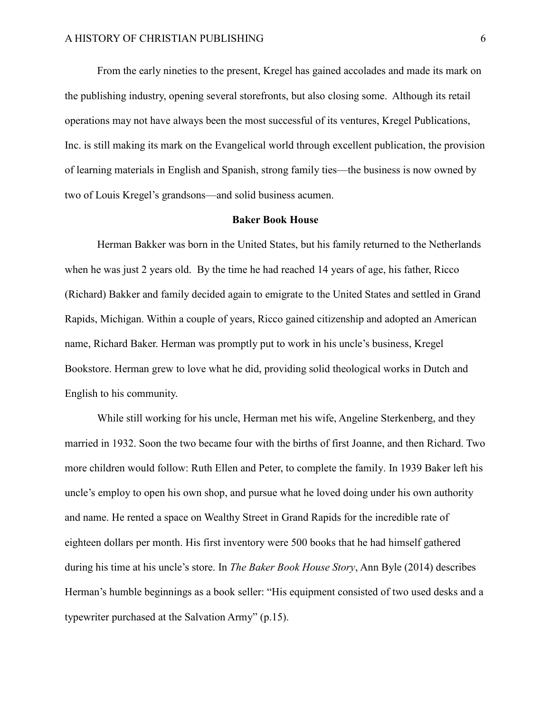From the early nineties to the present, Kregel has gained accolades and made its mark on the publishing industry, opening several storefronts, but also closing some. Although its retail operations may not have always been the most successful of its ventures, Kregel Publications, Inc. is still making its mark on the Evangelical world through excellent publication, the provision of learning materials in English and Spanish, strong family ties—the business is now owned by two of Louis Kregel's grandsons—and solid business acumen.

#### **Baker Book House**

Herman Bakker was born in the United States, but his family returned to the Netherlands when he was just 2 years old. By the time he had reached 14 years of age, his father, Ricco (Richard) Bakker and family decided again to emigrate to the United States and settled in Grand Rapids, Michigan. Within a couple of years, Ricco gained citizenship and adopted an American name, Richard Baker. Herman was promptly put to work in his uncle's business, Kregel Bookstore. Herman grew to love what he did, providing solid theological works in Dutch and English to his community.

While still working for his uncle, Herman met his wife, Angeline Sterkenberg, and they married in 1932. Soon the two became four with the births of first Joanne, and then Richard. Two more children would follow: Ruth Ellen and Peter, to complete the family. In 1939 Baker left his uncle's employ to open his own shop, and pursue what he loved doing under his own authority and name. He rented a space on Wealthy Street in Grand Rapids for the incredible rate of eighteen dollars per month. His first inventory were 500 books that he had himself gathered during his time at his uncle's store. In *The Baker Book House Story*, Ann Byle (2014) describes Herman's humble beginnings as a book seller: "His equipment consisted of two used desks and a typewriter purchased at the Salvation Army" (p.15).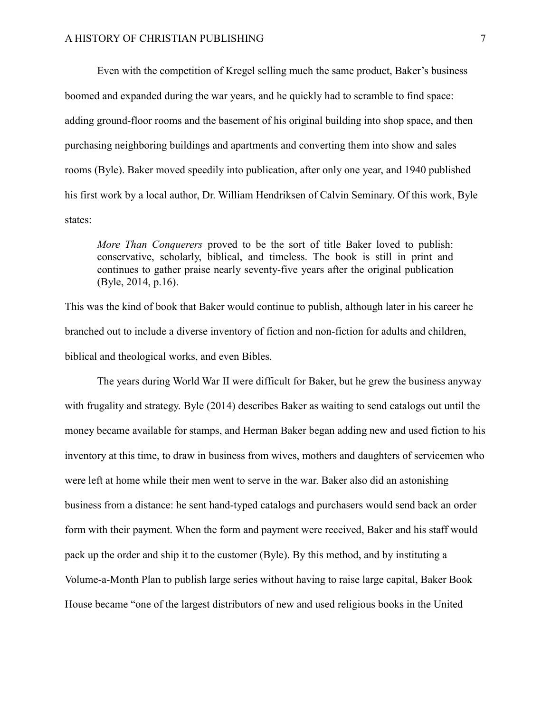Even with the competition of Kregel selling much the same product, Baker's business boomed and expanded during the war years, and he quickly had to scramble to find space: adding ground-floor rooms and the basement of his original building into shop space, and then purchasing neighboring buildings and apartments and converting them into show and sales rooms (Byle). Baker moved speedily into publication, after only one year, and 1940 published his first work by a local author, Dr. William Hendriksen of Calvin Seminary. Of this work, Byle states:

*More Than Conquerers* proved to be the sort of title Baker loved to publish: conservative, scholarly, biblical, and timeless. The book is still in print and continues to gather praise nearly seventy-five years after the original publication (Byle, 2014, p.16).

This was the kind of book that Baker would continue to publish, although later in his career he branched out to include a diverse inventory of fiction and non-fiction for adults and children, biblical and theological works, and even Bibles.

The years during World War II were difficult for Baker, but he grew the business anyway with frugality and strategy. Byle (2014) describes Baker as waiting to send catalogs out until the money became available for stamps, and Herman Baker began adding new and used fiction to his inventory at this time, to draw in business from wives, mothers and daughters of servicemen who were left at home while their men went to serve in the war. Baker also did an astonishing business from a distance: he sent hand-typed catalogs and purchasers would send back an order form with their payment. When the form and payment were received, Baker and his staff would pack up the order and ship it to the customer (Byle). By this method, and by instituting a Volume-a-Month Plan to publish large series without having to raise large capital, Baker Book House became "one of the largest distributors of new and used religious books in the United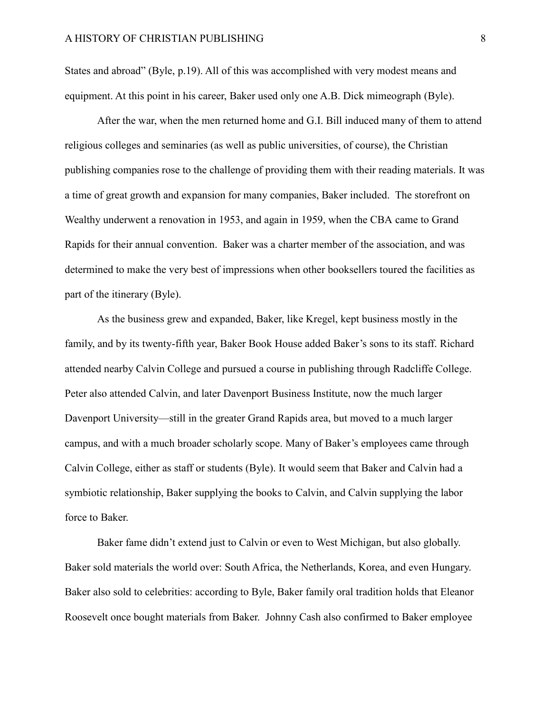States and abroad" (Byle, p.19). All of this was accomplished with very modest means and equipment. At this point in his career, Baker used only one A.B. Dick mimeograph (Byle).

After the war, when the men returned home and G.I. Bill induced many of them to attend religious colleges and seminaries (as well as public universities, of course), the Christian publishing companies rose to the challenge of providing them with their reading materials. It was a time of great growth and expansion for many companies, Baker included. The storefront on Wealthy underwent a renovation in 1953, and again in 1959, when the CBA came to Grand Rapids for their annual convention. Baker was a charter member of the association, and was determined to make the very best of impressions when other booksellers toured the facilities as part of the itinerary (Byle).

As the business grew and expanded, Baker, like Kregel, kept business mostly in the family, and by its twenty-fifth year, Baker Book House added Baker's sons to its staff. Richard attended nearby Calvin College and pursued a course in publishing through Radcliffe College. Peter also attended Calvin, and later Davenport Business Institute, now the much larger Davenport University—still in the greater Grand Rapids area, but moved to a much larger campus, and with a much broader scholarly scope. Many of Baker's employees came through Calvin College, either as staff or students (Byle). It would seem that Baker and Calvin had a symbiotic relationship, Baker supplying the books to Calvin, and Calvin supplying the labor force to Baker.

Baker fame didn't extend just to Calvin or even to West Michigan, but also globally. Baker sold materials the world over: South Africa, the Netherlands, Korea, and even Hungary. Baker also sold to celebrities: according to Byle, Baker family oral tradition holds that Eleanor Roosevelt once bought materials from Baker. Johnny Cash also confirmed to Baker employee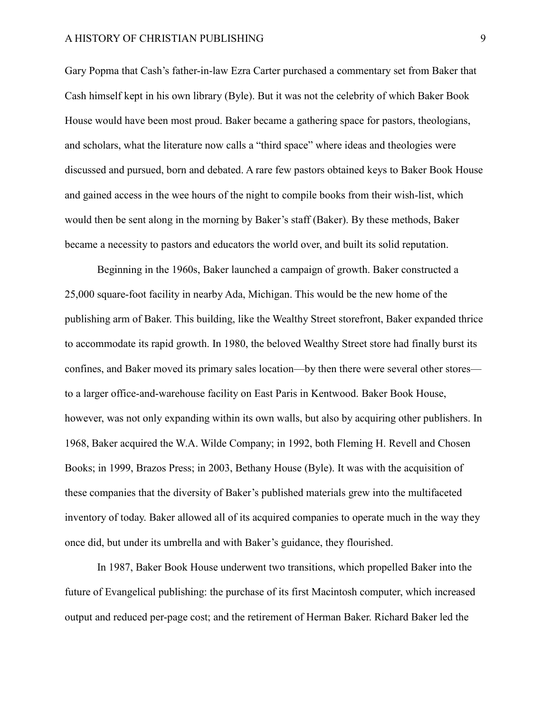Gary Popma that Cash's father-in-law Ezra Carter purchased a commentary set from Baker that Cash himself kept in his own library (Byle). But it was not the celebrity of which Baker Book House would have been most proud. Baker became a gathering space for pastors, theologians, and scholars, what the literature now calls a "third space" where ideas and theologies were discussed and pursued, born and debated. A rare few pastors obtained keys to Baker Book House and gained access in the wee hours of the night to compile books from their wish-list, which would then be sent along in the morning by Baker's staff (Baker). By these methods, Baker became a necessity to pastors and educators the world over, and built its solid reputation.

Beginning in the 1960s, Baker launched a campaign of growth. Baker constructed a 25,000 square-foot facility in nearby Ada, Michigan. This would be the new home of the publishing arm of Baker. This building, like the Wealthy Street storefront, Baker expanded thrice to accommodate its rapid growth. In 1980, the beloved Wealthy Street store had finally burst its confines, and Baker moved its primary sales location—by then there were several other stores to a larger office-and-warehouse facility on East Paris in Kentwood. Baker Book House, however, was not only expanding within its own walls, but also by acquiring other publishers. In 1968, Baker acquired the W.A. Wilde Company; in 1992, both Fleming H. Revell and Chosen Books; in 1999, Brazos Press; in 2003, Bethany House (Byle). It was with the acquisition of these companies that the diversity of Baker's published materials grew into the multifaceted inventory of today. Baker allowed all of its acquired companies to operate much in the way they once did, but under its umbrella and with Baker's guidance, they flourished.

In 1987, Baker Book House underwent two transitions, which propelled Baker into the future of Evangelical publishing: the purchase of its first Macintosh computer, which increased output and reduced per-page cost; and the retirement of Herman Baker. Richard Baker led the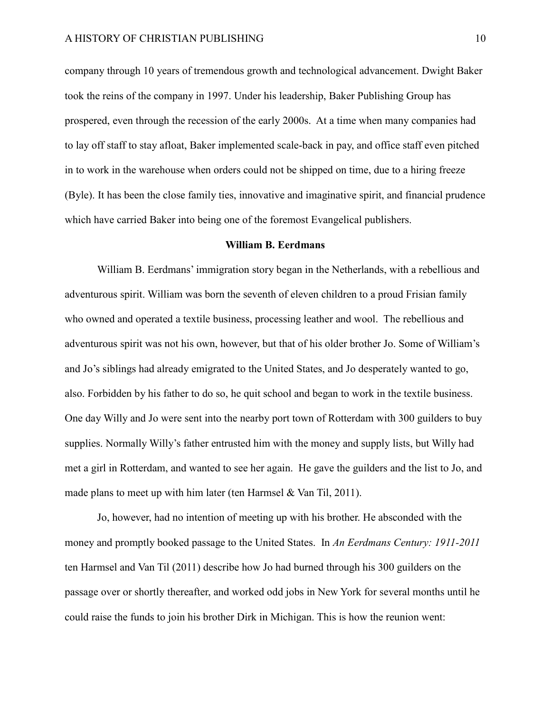company through 10 years of tremendous growth and technological advancement. Dwight Baker took the reins of the company in 1997. Under his leadership, Baker Publishing Group has prospered, even through the recession of the early 2000s. At a time when many companies had to lay off staff to stay afloat, Baker implemented scale-back in pay, and office staff even pitched in to work in the warehouse when orders could not be shipped on time, due to a hiring freeze (Byle). It has been the close family ties, innovative and imaginative spirit, and financial prudence which have carried Baker into being one of the foremost Evangelical publishers.

#### **William B. Eerdmans**

William B. Eerdmans' immigration story began in the Netherlands, with a rebellious and adventurous spirit. William was born the seventh of eleven children to a proud Frisian family who owned and operated a textile business, processing leather and wool. The rebellious and adventurous spirit was not his own, however, but that of his older brother Jo. Some of William's and Jo's siblings had already emigrated to the United States, and Jo desperately wanted to go, also. Forbidden by his father to do so, he quit school and began to work in the textile business. One day Willy and Jo were sent into the nearby port town of Rotterdam with 300 guilders to buy supplies. Normally Willy's father entrusted him with the money and supply lists, but Willy had met a girl in Rotterdam, and wanted to see her again. He gave the guilders and the list to Jo, and made plans to meet up with him later (ten Harmsel  $&$  Van Til, 2011).

Jo, however, had no intention of meeting up with his brother. He absconded with the money and promptly booked passage to the United States. In *An Eerdmans Century: 1911-2011* ten Harmsel and Van Til (2011) describe how Jo had burned through his 300 guilders on the passage over or shortly thereafter, and worked odd jobs in New York for several months until he could raise the funds to join his brother Dirk in Michigan. This is how the reunion went: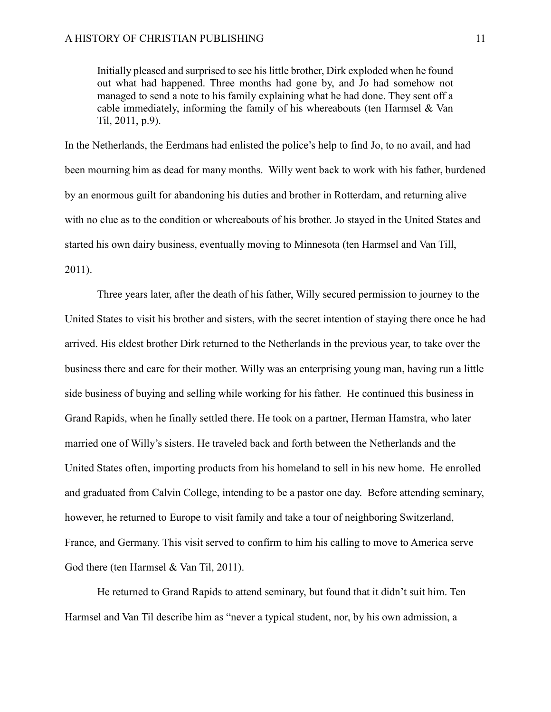Initially pleased and surprised to see his little brother, Dirk exploded when he found out what had happened. Three months had gone by, and Jo had somehow not managed to send a note to his family explaining what he had done. They sent off a cable immediately, informing the family of his whereabouts (ten Harmsel & Van Til, 2011, p.9).

In the Netherlands, the Eerdmans had enlisted the police's help to find Jo, to no avail, and had been mourning him as dead for many months. Willy went back to work with his father, burdened by an enormous guilt for abandoning his duties and brother in Rotterdam, and returning alive with no clue as to the condition or whereabouts of his brother. Jo stayed in the United States and started his own dairy business, eventually moving to Minnesota (ten Harmsel and Van Till, 2011).

Three years later, after the death of his father, Willy secured permission to journey to the United States to visit his brother and sisters, with the secret intention of staying there once he had arrived. His eldest brother Dirk returned to the Netherlands in the previous year, to take over the business there and care for their mother. Willy was an enterprising young man, having run a little side business of buying and selling while working for his father. He continued this business in Grand Rapids, when he finally settled there. He took on a partner, Herman Hamstra, who later married one of Willy's sisters. He traveled back and forth between the Netherlands and the United States often, importing products from his homeland to sell in his new home. He enrolled and graduated from Calvin College, intending to be a pastor one day. Before attending seminary, however, he returned to Europe to visit family and take a tour of neighboring Switzerland, France, and Germany. This visit served to confirm to him his calling to move to America serve God there (ten Harmsel & Van Til, 2011).

He returned to Grand Rapids to attend seminary, but found that it didn't suit him. Ten Harmsel and Van Til describe him as "never a typical student, nor, by his own admission, a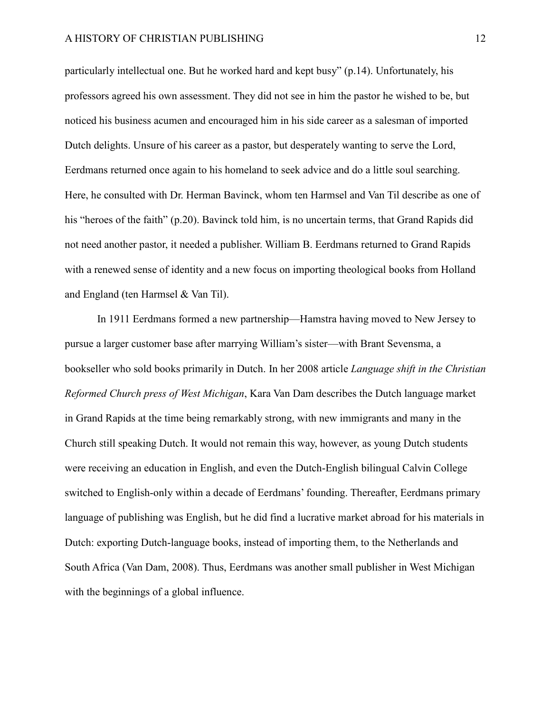particularly intellectual one. But he worked hard and kept busy" (p.14). Unfortunately, his professors agreed his own assessment. They did not see in him the pastor he wished to be, but noticed his business acumen and encouraged him in his side career as a salesman of imported Dutch delights. Unsure of his career as a pastor, but desperately wanting to serve the Lord, Eerdmans returned once again to his homeland to seek advice and do a little soul searching. Here, he consulted with Dr. Herman Bavinck, whom ten Harmsel and Van Til describe as one of his "heroes of the faith" (p.20). Bavinck told him, is no uncertain terms, that Grand Rapids did not need another pastor, it needed a publisher. William B. Eerdmans returned to Grand Rapids with a renewed sense of identity and a new focus on importing theological books from Holland and England (ten Harmsel & Van Til).

In 1911 Eerdmans formed a new partnership—Hamstra having moved to New Jersey to pursue a larger customer base after marrying William's sister—with Brant Sevensma, a bookseller who sold books primarily in Dutch. In her 2008 article *Language shift in the Christian Reformed Church press of West Michigan*, Kara Van Dam describes the Dutch language market in Grand Rapids at the time being remarkably strong, with new immigrants and many in the Church still speaking Dutch. It would not remain this way, however, as young Dutch students were receiving an education in English, and even the Dutch-English bilingual Calvin College switched to English-only within a decade of Eerdmans' founding. Thereafter, Eerdmans primary language of publishing was English, but he did find a lucrative market abroad for his materials in Dutch: exporting Dutch-language books, instead of importing them, to the Netherlands and South Africa (Van Dam, 2008). Thus, Eerdmans was another small publisher in West Michigan with the beginnings of a global influence.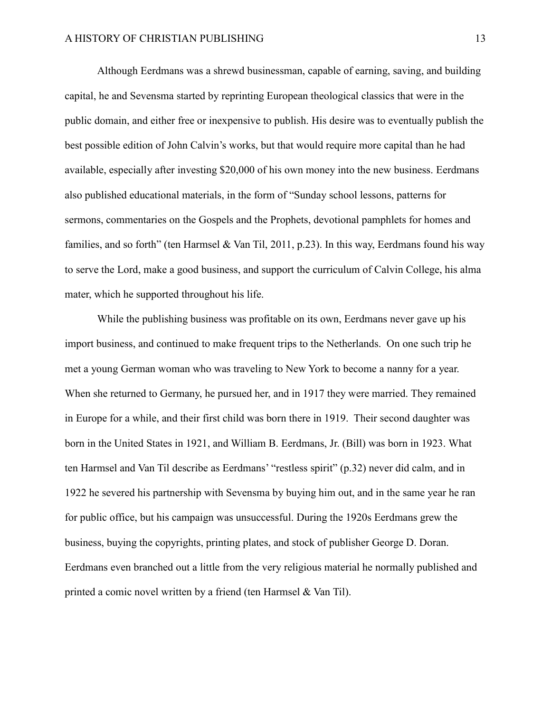Although Eerdmans was a shrewd businessman, capable of earning, saving, and building capital, he and Sevensma started by reprinting European theological classics that were in the public domain, and either free or inexpensive to publish. His desire was to eventually publish the best possible edition of John Calvin's works, but that would require more capital than he had available, especially after investing \$20,000 of his own money into the new business. Eerdmans also published educational materials, in the form of "Sunday school lessons, patterns for sermons, commentaries on the Gospels and the Prophets, devotional pamphlets for homes and families, and so forth" (ten Harmsel & Van Til, 2011, p.23). In this way, Eerdmans found his way to serve the Lord, make a good business, and support the curriculum of Calvin College, his alma mater, which he supported throughout his life.

While the publishing business was profitable on its own, Eerdmans never gave up his import business, and continued to make frequent trips to the Netherlands. On one such trip he met a young German woman who was traveling to New York to become a nanny for a year. When she returned to Germany, he pursued her, and in 1917 they were married. They remained in Europe for a while, and their first child was born there in 1919. Their second daughter was born in the United States in 1921, and William B. Eerdmans, Jr. (Bill) was born in 1923. What ten Harmsel and Van Til describe as Eerdmans' "restless spirit" (p.32) never did calm, and in 1922 he severed his partnership with Sevensma by buying him out, and in the same year he ran for public office, but his campaign was unsuccessful. During the 1920s Eerdmans grew the business, buying the copyrights, printing plates, and stock of publisher George D. Doran. Eerdmans even branched out a little from the very religious material he normally published and printed a comic novel written by a friend (ten Harmsel & Van Til).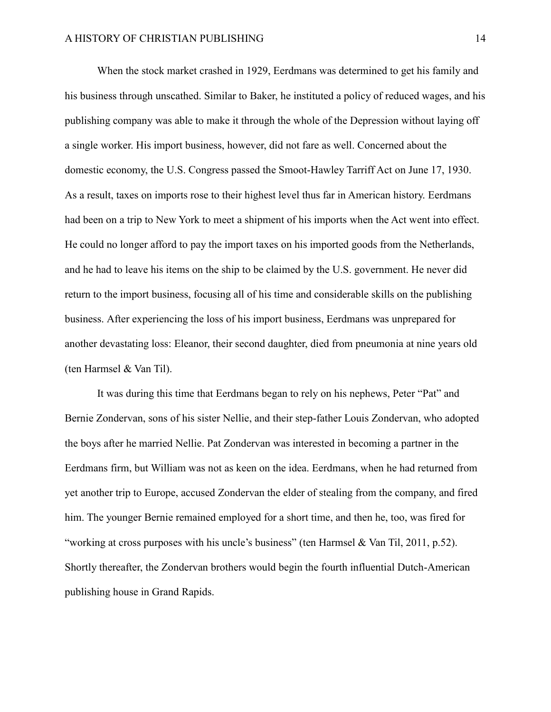When the stock market crashed in 1929, Eerdmans was determined to get his family and his business through unscathed. Similar to Baker, he instituted a policy of reduced wages, and his publishing company was able to make it through the whole of the Depression without laying off a single worker. His import business, however, did not fare as well. Concerned about the domestic economy, the U.S. Congress passed the Smoot-Hawley Tarriff Act on June 17, 1930. As a result, taxes on imports rose to their highest level thus far in American history. Eerdmans had been on a trip to New York to meet a shipment of his imports when the Act went into effect. He could no longer afford to pay the import taxes on his imported goods from the Netherlands, and he had to leave his items on the ship to be claimed by the U.S. government. He never did return to the import business, focusing all of his time and considerable skills on the publishing business. After experiencing the loss of his import business, Eerdmans was unprepared for another devastating loss: Eleanor, their second daughter, died from pneumonia at nine years old (ten Harmsel & Van Til).

It was during this time that Eerdmans began to rely on his nephews, Peter "Pat" and Bernie Zondervan, sons of his sister Nellie, and their step-father Louis Zondervan, who adopted the boys after he married Nellie. Pat Zondervan was interested in becoming a partner in the Eerdmans firm, but William was not as keen on the idea. Eerdmans, when he had returned from yet another trip to Europe, accused Zondervan the elder of stealing from the company, and fired him. The younger Bernie remained employed for a short time, and then he, too, was fired for "working at cross purposes with his uncle's business" (ten Harmsel & Van Til, 2011, p.52). Shortly thereafter, the Zondervan brothers would begin the fourth influential Dutch-American publishing house in Grand Rapids.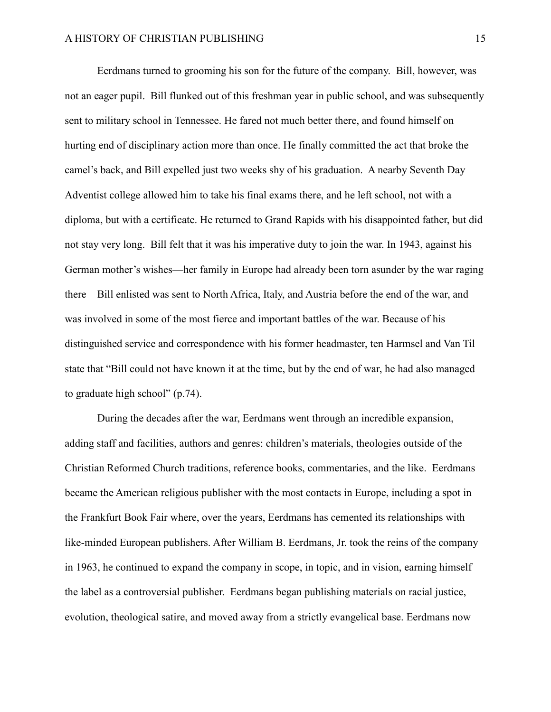Eerdmans turned to grooming his son for the future of the company. Bill, however, was not an eager pupil. Bill flunked out of this freshman year in public school, and was subsequently sent to military school in Tennessee. He fared not much better there, and found himself on hurting end of disciplinary action more than once. He finally committed the act that broke the camel's back, and Bill expelled just two weeks shy of his graduation. A nearby Seventh Day Adventist college allowed him to take his final exams there, and he left school, not with a diploma, but with a certificate. He returned to Grand Rapids with his disappointed father, but did not stay very long. Bill felt that it was his imperative duty to join the war. In 1943, against his German mother's wishes—her family in Europe had already been torn asunder by the war raging there—Bill enlisted was sent to North Africa, Italy, and Austria before the end of the war, and was involved in some of the most fierce and important battles of the war. Because of his distinguished service and correspondence with his former headmaster, ten Harmsel and Van Til state that "Bill could not have known it at the time, but by the end of war, he had also managed to graduate high school" (p.74).

During the decades after the war, Eerdmans went through an incredible expansion, adding staff and facilities, authors and genres: children's materials, theologies outside of the Christian Reformed Church traditions, reference books, commentaries, and the like. Eerdmans became the American religious publisher with the most contacts in Europe, including a spot in the Frankfurt Book Fair where, over the years, Eerdmans has cemented its relationships with like-minded European publishers. After William B. Eerdmans, Jr. took the reins of the company in 1963, he continued to expand the company in scope, in topic, and in vision, earning himself the label as a controversial publisher. Eerdmans began publishing materials on racial justice, evolution, theological satire, and moved away from a strictly evangelical base. Eerdmans now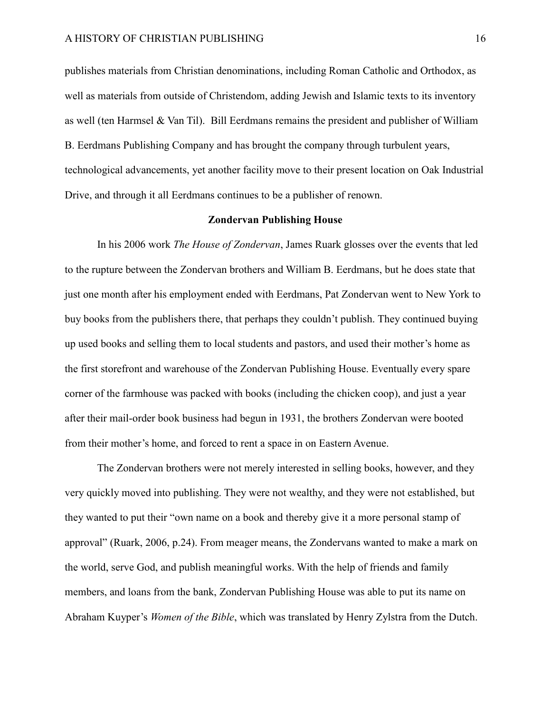publishes materials from Christian denominations, including Roman Catholic and Orthodox, as well as materials from outside of Christendom, adding Jewish and Islamic texts to its inventory as well (ten Harmsel & Van Til). Bill Eerdmans remains the president and publisher of William B. Eerdmans Publishing Company and has brought the company through turbulent years, technological advancements, yet another facility move to their present location on Oak Industrial Drive, and through it all Eerdmans continues to be a publisher of renown.

## **Zondervan Publishing House**

In his 2006 work *The House of Zondervan*, James Ruark glosses over the events that led to the rupture between the Zondervan brothers and William B. Eerdmans, but he does state that just one month after his employment ended with Eerdmans, Pat Zondervan went to New York to buy books from the publishers there, that perhaps they couldn't publish. They continued buying up used books and selling them to local students and pastors, and used their mother's home as the first storefront and warehouse of the Zondervan Publishing House. Eventually every spare corner of the farmhouse was packed with books (including the chicken coop), and just a year after their mail-order book business had begun in 1931, the brothers Zondervan were booted from their mother's home, and forced to rent a space in on Eastern Avenue.

The Zondervan brothers were not merely interested in selling books, however, and they very quickly moved into publishing. They were not wealthy, and they were not established, but they wanted to put their "own name on a book and thereby give it a more personal stamp of approval" (Ruark, 2006, p.24). From meager means, the Zondervans wanted to make a mark on the world, serve God, and publish meaningful works. With the help of friends and family members, and loans from the bank, Zondervan Publishing House was able to put its name on Abraham Kuyper's *Women of the Bible*, which was translated by Henry Zylstra from the Dutch.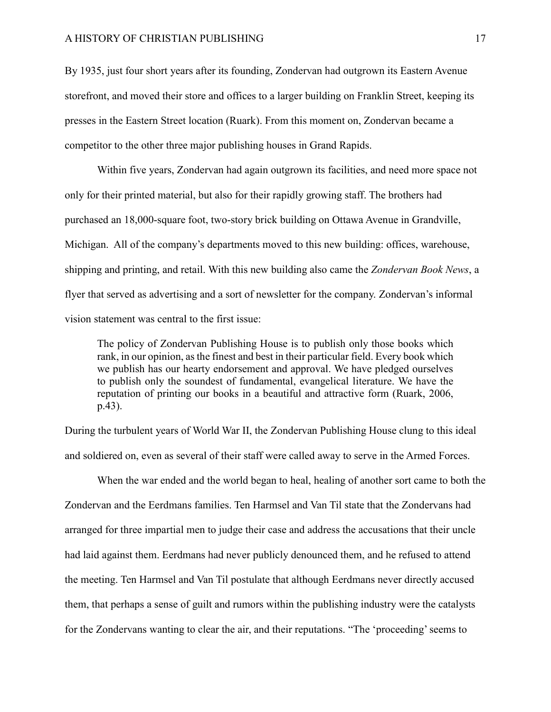By 1935, just four short years after its founding, Zondervan had outgrown its Eastern Avenue storefront, and moved their store and offices to a larger building on Franklin Street, keeping its presses in the Eastern Street location (Ruark). From this moment on, Zondervan became a competitor to the other three major publishing houses in Grand Rapids.

Within five years, Zondervan had again outgrown its facilities, and need more space not only for their printed material, but also for their rapidly growing staff. The brothers had purchased an 18,000-square foot, two-story brick building on Ottawa Avenue in Grandville, Michigan. All of the company's departments moved to this new building: offices, warehouse, shipping and printing, and retail. With this new building also came the *Zondervan Book News*, a flyer that served as advertising and a sort of newsletter for the company. Zondervan's informal vision statement was central to the first issue:

The policy of Zondervan Publishing House is to publish only those books which rank, in our opinion, as the finest and best in their particular field. Every book which we publish has our hearty endorsement and approval. We have pledged ourselves to publish only the soundest of fundamental, evangelical literature. We have the reputation of printing our books in a beautiful and attractive form (Ruark, 2006, p.43).

During the turbulent years of World War II, the Zondervan Publishing House clung to this ideal and soldiered on, even as several of their staff were called away to serve in the Armed Forces.

When the war ended and the world began to heal, healing of another sort came to both the Zondervan and the Eerdmans families. Ten Harmsel and Van Til state that the Zondervans had arranged for three impartial men to judge their case and address the accusations that their uncle had laid against them. Eerdmans had never publicly denounced them, and he refused to attend the meeting. Ten Harmsel and Van Til postulate that although Eerdmans never directly accused them, that perhaps a sense of guilt and rumors within the publishing industry were the catalysts for the Zondervans wanting to clear the air, and their reputations. "The 'proceeding' seems to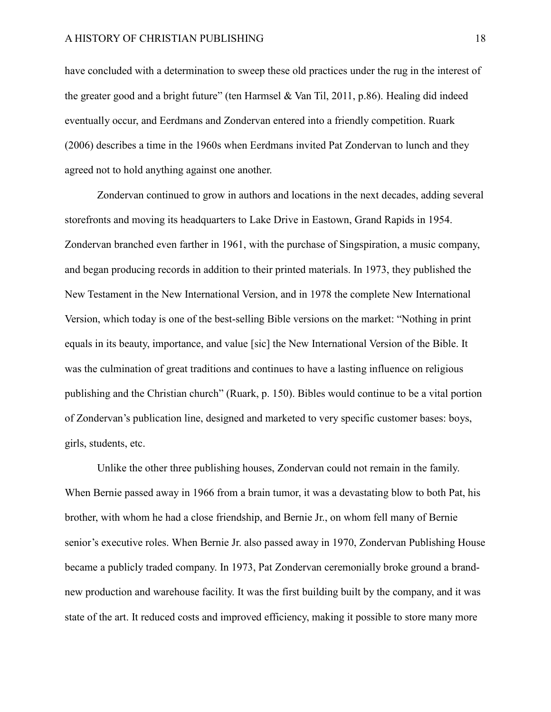have concluded with a determination to sweep these old practices under the rug in the interest of the greater good and a bright future" (ten Harmsel & Van Til, 2011, p.86). Healing did indeed eventually occur, and Eerdmans and Zondervan entered into a friendly competition. Ruark (2006) describes a time in the 1960s when Eerdmans invited Pat Zondervan to lunch and they agreed not to hold anything against one another.

Zondervan continued to grow in authors and locations in the next decades, adding several storefronts and moving its headquarters to Lake Drive in Eastown, Grand Rapids in 1954. Zondervan branched even farther in 1961, with the purchase of Singspiration, a music company, and began producing records in addition to their printed materials. In 1973, they published the New Testament in the New International Version, and in 1978 the complete New International Version, which today is one of the best-selling Bible versions on the market: "Nothing in print equals in its beauty, importance, and value [sic] the New International Version of the Bible. It was the culmination of great traditions and continues to have a lasting influence on religious publishing and the Christian church" (Ruark, p. 150). Bibles would continue to be a vital portion of Zondervan's publication line, designed and marketed to very specific customer bases: boys, girls, students, etc.

Unlike the other three publishing houses, Zondervan could not remain in the family. When Bernie passed away in 1966 from a brain tumor, it was a devastating blow to both Pat, his brother, with whom he had a close friendship, and Bernie Jr., on whom fell many of Bernie senior's executive roles. When Bernie Jr. also passed away in 1970, Zondervan Publishing House became a publicly traded company. In 1973, Pat Zondervan ceremonially broke ground a brandnew production and warehouse facility. It was the first building built by the company, and it was state of the art. It reduced costs and improved efficiency, making it possible to store many more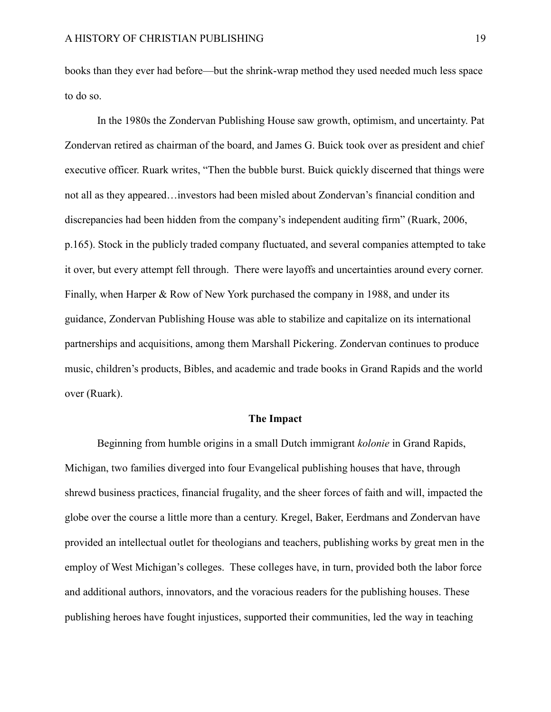books than they ever had before—but the shrink-wrap method they used needed much less space to do so.

In the 1980s the Zondervan Publishing House saw growth, optimism, and uncertainty. Pat Zondervan retired as chairman of the board, and James G. Buick took over as president and chief executive officer. Ruark writes, "Then the bubble burst. Buick quickly discerned that things were not all as they appeared…investors had been misled about Zondervan's financial condition and discrepancies had been hidden from the company's independent auditing firm" (Ruark, 2006, p.165). Stock in the publicly traded company fluctuated, and several companies attempted to take it over, but every attempt fell through. There were layoffs and uncertainties around every corner. Finally, when Harper & Row of New York purchased the company in 1988, and under its guidance, Zondervan Publishing House was able to stabilize and capitalize on its international partnerships and acquisitions, among them Marshall Pickering. Zondervan continues to produce music, children's products, Bibles, and academic and trade books in Grand Rapids and the world over (Ruark).

#### **The Impact**

Beginning from humble origins in a small Dutch immigrant *kolonie* in Grand Rapids, Michigan, two families diverged into four Evangelical publishing houses that have, through shrewd business practices, financial frugality, and the sheer forces of faith and will, impacted the globe over the course a little more than a century. Kregel, Baker, Eerdmans and Zondervan have provided an intellectual outlet for theologians and teachers, publishing works by great men in the employ of West Michigan's colleges. These colleges have, in turn, provided both the labor force and additional authors, innovators, and the voracious readers for the publishing houses. These publishing heroes have fought injustices, supported their communities, led the way in teaching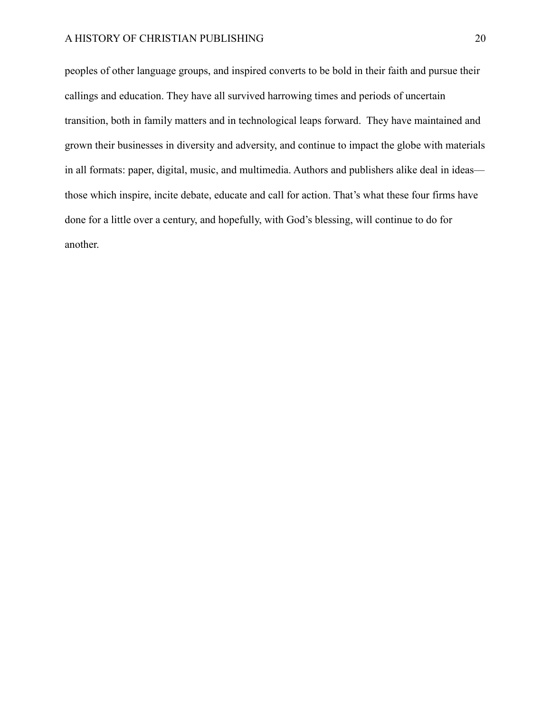## A HISTORY OF CHRISTIAN PUBLISHING 20

peoples of other language groups, and inspired converts to be bold in their faith and pursue their callings and education. They have all survived harrowing times and periods of uncertain transition, both in family matters and in technological leaps forward. They have maintained and grown their businesses in diversity and adversity, and continue to impact the globe with materials in all formats: paper, digital, music, and multimedia. Authors and publishers alike deal in ideas those which inspire, incite debate, educate and call for action. That's what these four firms have done for a little over a century, and hopefully, with God's blessing, will continue to do for another.